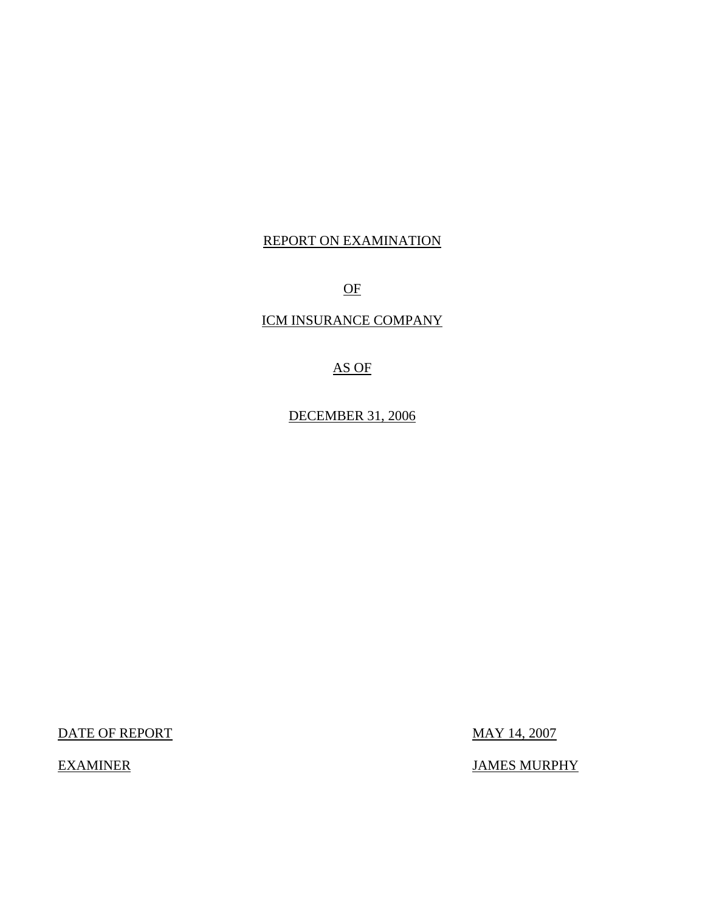## REPORT ON EXAMINATION

OF

ICM INSURANCE COMPANY

## AS OF

DECEMBER 31, 2006

DATE OF REPORT MAY 14, 2007

EXAMINER JAMES MURPHY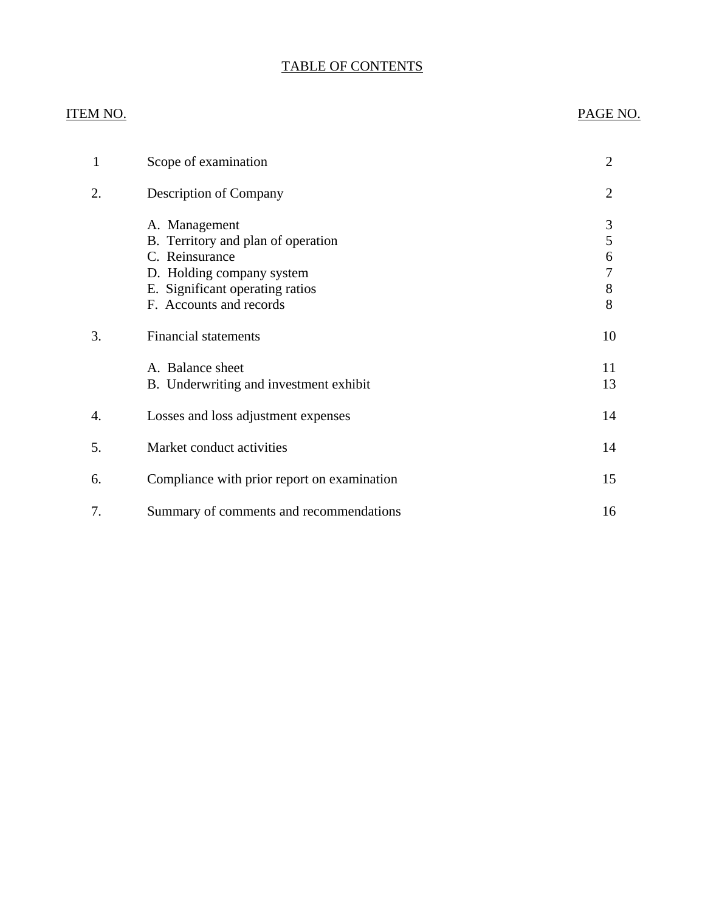## TABLE OF CONTENTS

## **ITEM NO.**

## PAGE NO.

| 1  | Scope of examination                                                                                                                                             | $\overline{2}$             |
|----|------------------------------------------------------------------------------------------------------------------------------------------------------------------|----------------------------|
| 2. | <b>Description of Company</b>                                                                                                                                    | $\overline{2}$             |
|    | A. Management<br>B. Territory and plan of operation<br>C. Reinsurance<br>D. Holding company system<br>E. Significant operating ratios<br>F. Accounts and records | 3<br>5<br>6<br>7<br>8<br>8 |
| 3. | <b>Financial statements</b>                                                                                                                                      | 10                         |
|    | A. Balance sheet<br>B. Underwriting and investment exhibit                                                                                                       | 11<br>13                   |
| 4. | Losses and loss adjustment expenses                                                                                                                              | 14                         |
| 5. | Market conduct activities                                                                                                                                        | 14                         |
| 6. | Compliance with prior report on examination                                                                                                                      | 15                         |
| 7. | Summary of comments and recommendations                                                                                                                          | 16                         |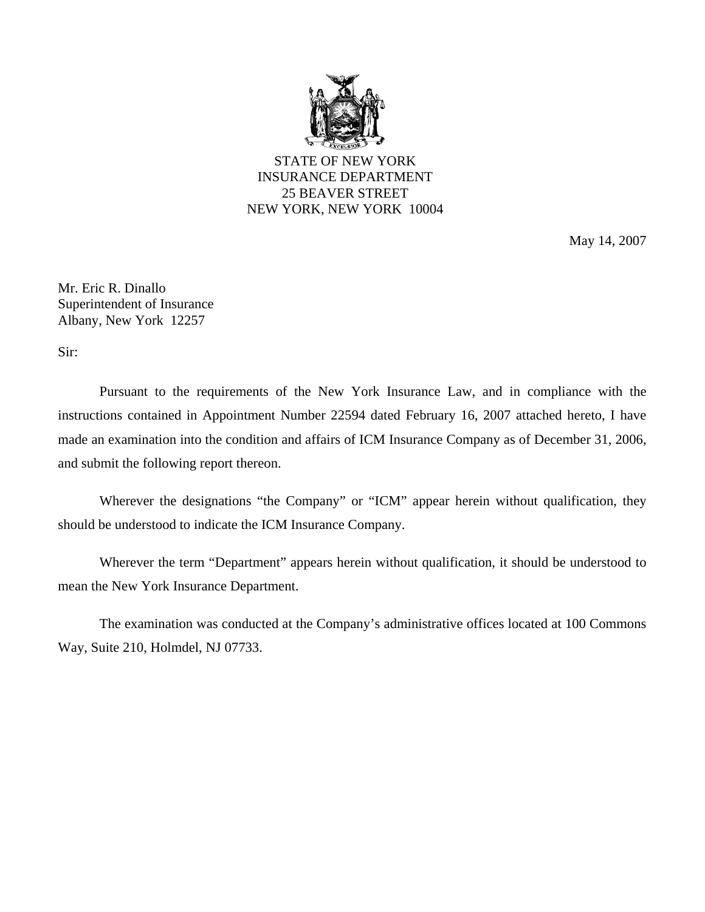

STATE OF NEW YORK INSURANCE DEPARTMENT 25 BEAVER STREET NEW YORK, NEW YORK 10004

May 14, 2007

Mr. Eric R. Dinallo Superintendent of Insurance Albany, New York 12257

Sir:

Pursuant to the requirements of the New York Insurance Law, and in compliance with the instructions contained in Appointment Number 22594 dated February 16, 2007 attached hereto, I have made an examination into the condition and affairs of ICM Insurance Company as of December 31, 2006, and submit the following report thereon.

Wherever the designations "the Company" or "ICM" appear herein without qualification, they should be understood to indicate the ICM Insurance Company.

Wherever the term "Department" appears herein without qualification, it should be understood to mean the New York Insurance Department.

The examination was conducted at the Company's administrative offices located at 100 Commons Way, Suite 210, Holmdel, NJ 07733.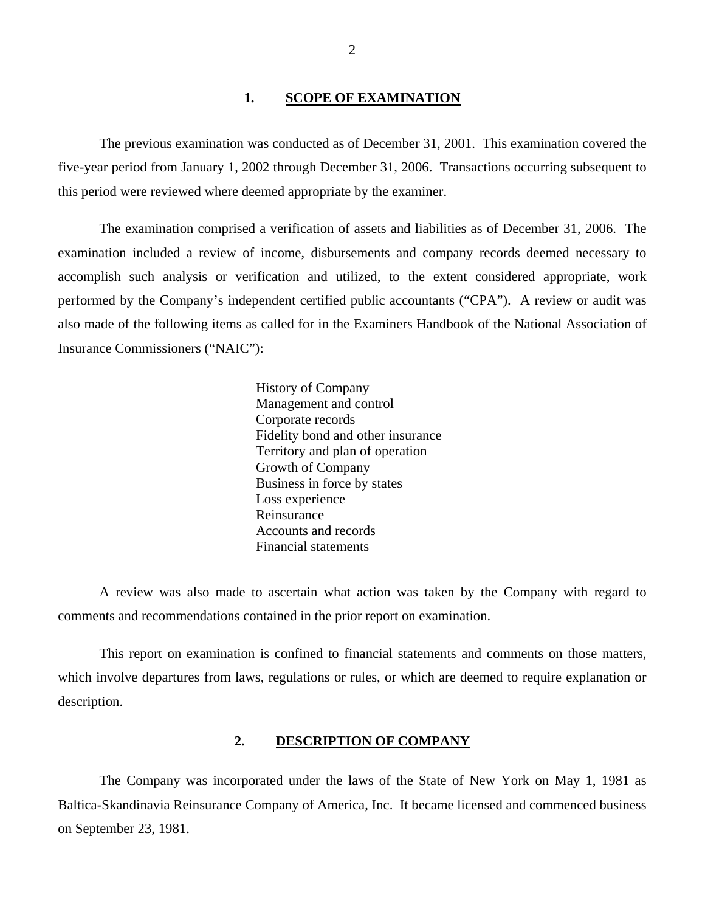#### 1. **SCOPE OF EXAMINATION**

<span id="page-3-0"></span>The previous examination was conducted as of December 31, 2001. This examination covered the five-year period from January 1, 2002 through December 31, 2006. Transactions occurring subsequent to this period were reviewed where deemed appropriate by the examiner.

The examination comprised a verification of assets and liabilities as of December 31, 2006. The examination included a review of income, disbursements and company records deemed necessary to accomplish such analysis or verification and utilized, to the extent considered appropriate, work performed by the Company's independent certified public accountants ("CPA"). A review or audit was also made of the following items as called for in the Examiners Handbook of the National Association of Insurance Commissioners ("NAIC"):

> History of Company Management and control Corporate records Fidelity bond and other insurance Territory and plan of operation Growth of Company Business in force by states Loss experience Reinsurance Accounts and records Financial statements

A review was also made to ascertain what action was taken by the Company with regard to comments and recommendations contained in the prior report on examination.

This report on examination is confined to financial statements and comments on those matters, which involve departures from laws, regulations or rules, or which are deemed to require explanation or description.

#### **2. DESCRIPTION OF COMPANY**

The Company was incorporated under the laws of the State of New York on May 1, 1981 as Baltica-Skandinavia Reinsurance Company of America, Inc. It became licensed and commenced business on September 23, 1981.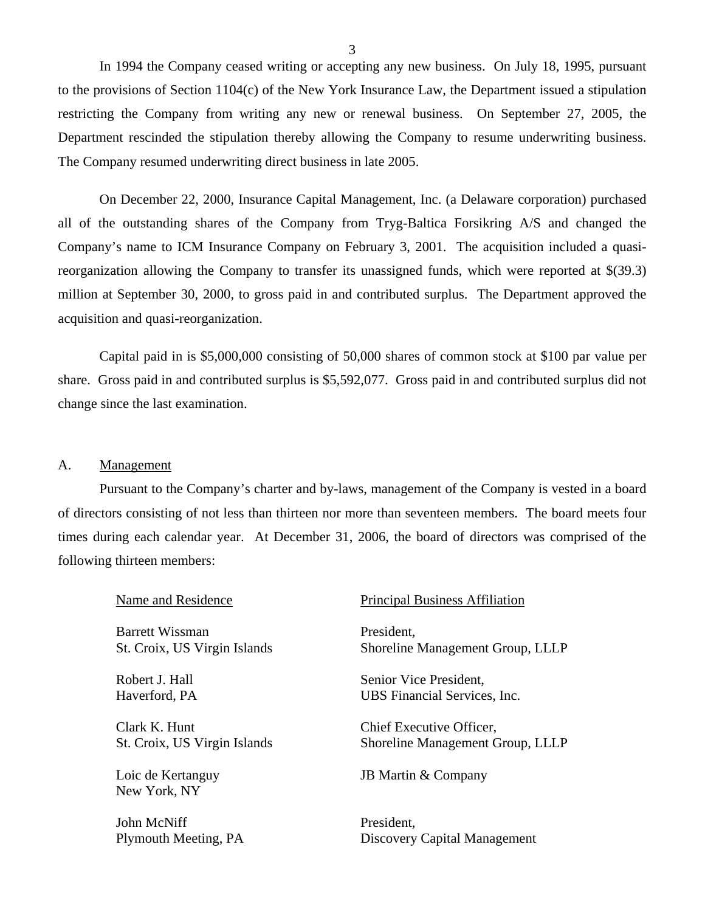In 1994 the Company ceased writing or accepting any new business. On July 18, 1995, pursuant to the provisions of Section 1104(c) of the New York Insurance Law, the Department issued a stipulation restricting the Company from writing any new or renewal business. On September 27, 2005, the Department rescinded the stipulation thereby allowing the Company to resume underwriting business. The Company resumed underwriting direct business in late 2005.

On December 22, 2000, Insurance Capital Management, Inc. (a Delaware corporation) purchased all of the outstanding shares of the Company from Tryg-Baltica Forsikring A/S and changed the Company's name to ICM Insurance Company on February 3, 2001. The acquisition included a quasireorganization allowing the Company to transfer its unassigned funds, which were reported at \$(39.3) million at September 30, 2000, to gross paid in and contributed surplus. The Department approved the acquisition and quasi-reorganization.

Capital paid in is \$5,000,000 consisting of 50,000 shares of common stock at \$100 par value per share. Gross paid in and contributed surplus is \$5,592,077. Gross paid in and contributed surplus did not change since the last examination.

#### A. Management

Pursuant to the Company's charter and by-laws, management of the Company is vested in a board of directors consisting of not less than thirteen nor more than seventeen members. The board meets four times during each calendar year. At December 31, 2006, the board of directors was comprised of the following thirteen members:

| Name and Residence                | <b>Principal Business Affiliation</b> |
|-----------------------------------|---------------------------------------|
| Barrett Wissman                   | President.                            |
| St. Croix, US Virgin Islands      | Shoreline Management Group, LLLP      |
| Robert J. Hall                    | Senior Vice President,                |
| Haverford, PA                     | UBS Financial Services, Inc.          |
| Clark K. Hunt                     | Chief Executive Officer,              |
| St. Croix, US Virgin Islands      | Shoreline Management Group, LLLP      |
| Loic de Kertanguy<br>New York, NY | JB Martin & Company                   |
| John McNiff                       | President,                            |
| Plymouth Meeting, PA              | Discovery Capital Management          |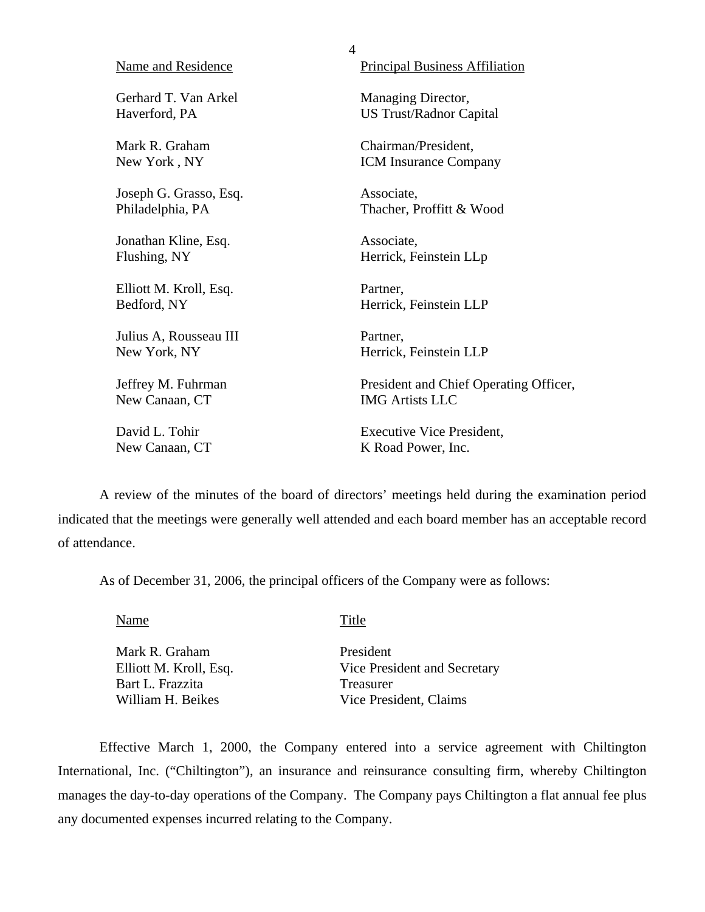| Name and Residence     | <b>Principal Business Affiliation</b>  |
|------------------------|----------------------------------------|
| Gerhard T. Van Arkel   | Managing Director,                     |
| Haverford, PA          | <b>US Trust/Radnor Capital</b>         |
| Mark R. Graham         | Chairman/President,                    |
| New York, NY           | <b>ICM Insurance Company</b>           |
| Joseph G. Grasso, Esq. | Associate,                             |
| Philadelphia, PA       | Thacher, Proffitt & Wood               |
| Jonathan Kline, Esq.   | Associate,                             |
| Flushing, NY           | Herrick, Feinstein LLp                 |
| Elliott M. Kroll, Esq. | Partner,                               |
| Bedford, NY            | Herrick, Feinstein LLP                 |
| Julius A, Rousseau III | Partner,                               |
| New York, NY           | Herrick, Feinstein LLP                 |
| Jeffrey M. Fuhrman     | President and Chief Operating Officer, |
| New Canaan, CT         | <b>IMG Artists LLC</b>                 |
| David L. Tohir         | <b>Executive Vice President,</b>       |
| New Canaan, CT         | K Road Power, Inc.                     |

4

A review of the minutes of the board of directors' meetings held during the examination period indicated that the meetings were generally well attended and each board member has an acceptable record of attendance.

As of December 31, 2006, the principal officers of the Company were as follows:

Name Title

Mark R. Graham President Bart L. Frazzita Treasurer<br>
William H. Beikes Vice Presi

Elliott M. Kroll, Esq. Vice President and Secretary Vice President, Claims

Effective March 1, 2000, the Company entered into a service agreement with Chiltington International, Inc. ("Chiltington"), an insurance and reinsurance consulting firm, whereby Chiltington manages the day-to-day operations of the Company. The Company pays Chiltington a flat annual fee plus any documented expenses incurred relating to the Company.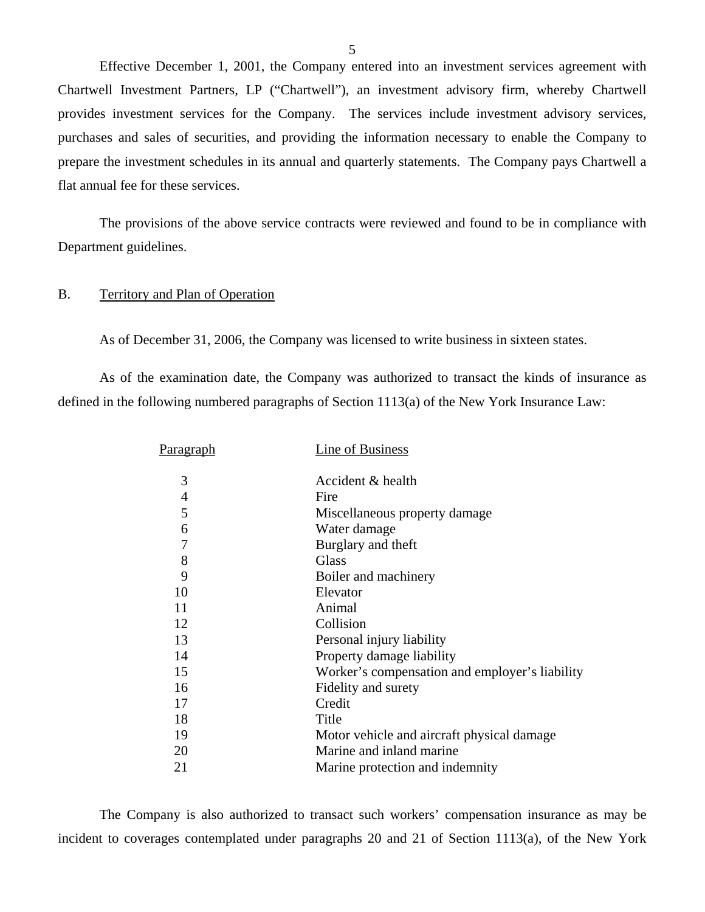<span id="page-6-0"></span>Effective December 1, 2001, the Company entered into an investment services agreement with Chartwell Investment Partners, LP ("Chartwell"), an investment advisory firm, whereby Chartwell provides investment services for the Company. The services include investment advisory services, purchases and sales of securities, and providing the information necessary to enable the Company to prepare the investment schedules in its annual and quarterly statements. The Company pays Chartwell a flat annual fee for these services.

The provisions of the above service contracts were reviewed and found to be in compliance with Department guidelines.

#### B. Territory and Plan of Operation

As of December 31, 2006, the Company was licensed to write business in sixteen states.

As of the examination date, the Company was authorized to transact the kinds of insurance as defined in the following numbered paragraphs of Section 1113(a) of the New York Insurance Law:

| <b>Paragraph</b> | Line of Business                               |
|------------------|------------------------------------------------|
| 3                | Accident & health                              |
| $\overline{4}$   | Fire                                           |
| 5                | Miscellaneous property damage                  |
| 6                | Water damage                                   |
| 7                | Burglary and theft                             |
| 8                | <b>Glass</b>                                   |
| 9                | Boiler and machinery                           |
| 10               | Elevator                                       |
| 11               | Animal                                         |
| 12               | Collision                                      |
| 13               | Personal injury liability                      |
| 14               | Property damage liability                      |
| 15               | Worker's compensation and employer's liability |
| 16               | Fidelity and surety                            |
| 17               | Credit                                         |
| 18               | Title                                          |
| 19               | Motor vehicle and aircraft physical damage.    |
| 20               | Marine and inland marine                       |
| 21               | Marine protection and indemnity                |

The Company is also authorized to transact such workers' compensation insurance as may be incident to coverages contemplated under paragraphs 20 and 21 of Section 1113(a), of the New York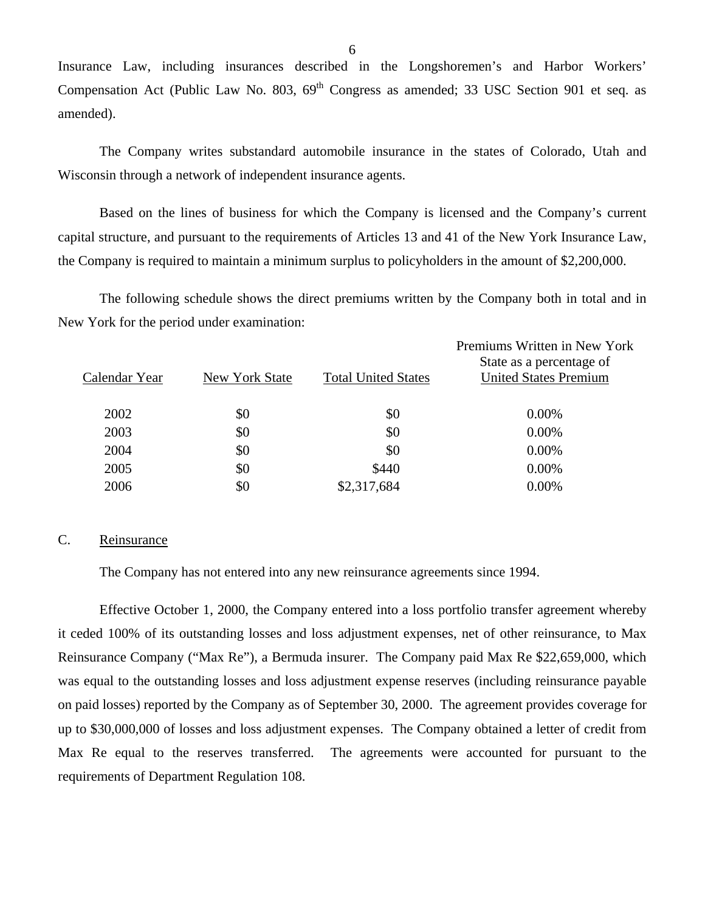Insurance Law, including insurances described in the Longshoremen's and Harbor Workers' Compensation Act (Public Law No. 803,  $69<sup>th</sup>$  Congress as amended; 33 USC Section 901 et seq. as amended).

The Company writes substandard automobile insurance in the states of Colorado, Utah and Wisconsin through a network of independent insurance agents.

Based on the lines of business for which the Company is licensed and the Company's current capital structure, and pursuant to the requirements of Articles 13 and 41 of the New York Insurance Law, the Company is required to maintain a minimum surplus to policyholders in the amount of \$2,200,000.

The following schedule shows the direct premiums written by the Company both in total and in New York for the period under examination:

| Calendar Year | New York State | <b>Total United States</b> | Premiums Written in New York<br>State as a percentage of<br><b>United States Premium</b> |
|---------------|----------------|----------------------------|------------------------------------------------------------------------------------------|
| 2002          | \$0            | \$0                        | 0.00%                                                                                    |
| 2003          | \$0            | \$0                        | 0.00%                                                                                    |
| 2004          | \$0            | \$0                        | 0.00%                                                                                    |
| 2005          | \$0            | \$440                      | 0.00%                                                                                    |
| 2006          | \$0            | \$2,317,684                | 0.00%                                                                                    |
|               |                |                            |                                                                                          |

#### C. Reinsurance

The Company has not entered into any new reinsurance agreements since 1994.

Effective October 1, 2000, the Company entered into a loss portfolio transfer agreement whereby it ceded 100% of its outstanding losses and loss adjustment expenses, net of other reinsurance, to Max Reinsurance Company ("Max Re"), a Bermuda insurer. The Company paid Max Re \$22,659,000, which was equal to the outstanding losses and loss adjustment expense reserves (including reinsurance payable on paid losses) reported by the Company as of September 30, 2000. The agreement provides coverage for up to \$30,000,000 of losses and loss adjustment expenses. The Company obtained a letter of credit from Max Re equal to the reserves transferred. The agreements were accounted for pursuant to the requirements of Department Regulation 108.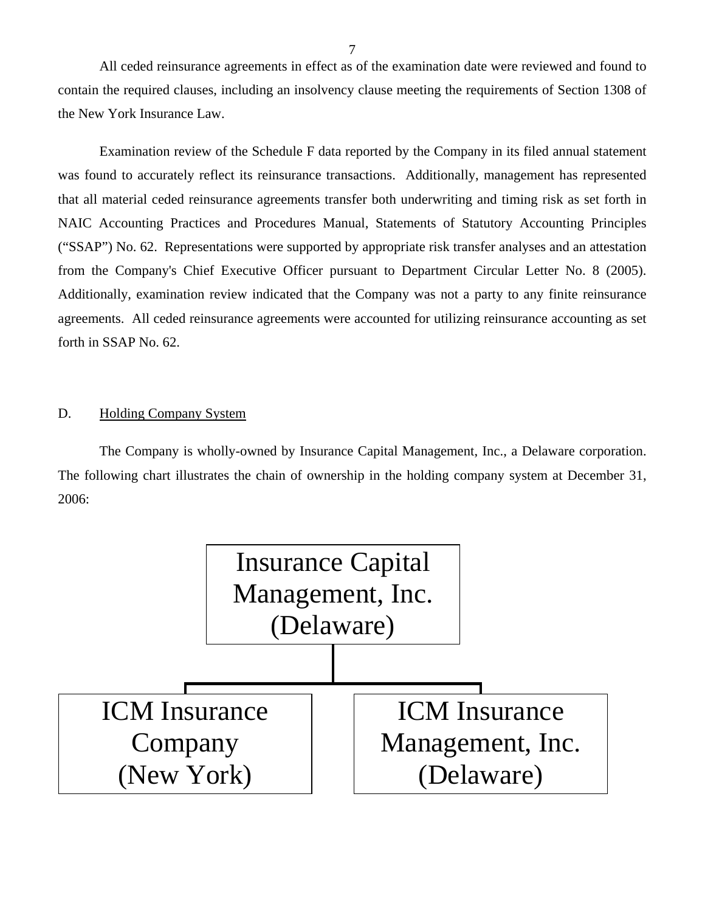All ceded reinsurance agreements in effect as of the examination date were reviewed and found to contain the required clauses, including an insolvency clause meeting the requirements of Section 1308 of the New York Insurance Law.

Examination review of the Schedule F data reported by the Company in its filed annual statement was found to accurately reflect its reinsurance transactions. Additionally, management has represented that all material ceded reinsurance agreements transfer both underwriting and timing risk as set forth in NAIC Accounting Practices and Procedures Manual, Statements of Statutory Accounting Principles ("SSAP") No. 62. Representations were supported by appropriate risk transfer analyses and an attestation from the Company's Chief Executive Officer pursuant to Department Circular Letter No. 8 (2005). Additionally, examination review indicated that the Company was not a party to any finite reinsurance agreements. All ceded reinsurance agreements were accounted for utilizing reinsurance accounting as set forth in SSAP No. 62.

### D. Holding Company System

The Company is wholly-owned by Insurance Capital Management, Inc., a Delaware corporation. The following chart illustrates the chain of ownership in the holding company system at December 31, 2006:

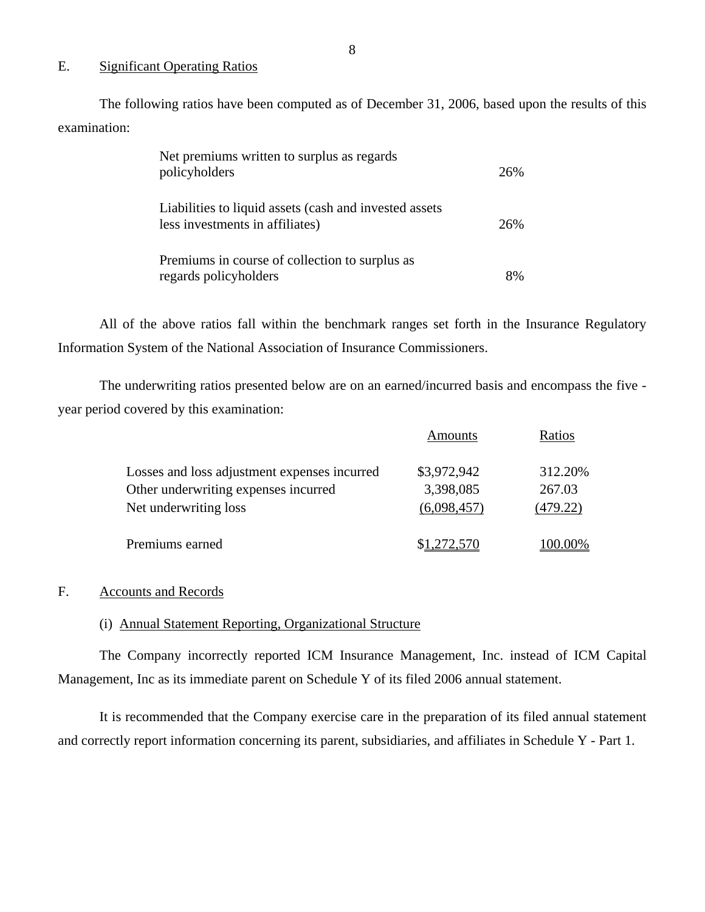#### E. Significant Operating Ratios

The following ratios have been computed as of December 31, 2006, based upon the results of this examination:

| Net premiums written to surplus as regards<br>policyholders                               | 26% |
|-------------------------------------------------------------------------------------------|-----|
| Liabilities to liquid assets (cash and invested assets<br>less investments in affiliates) | 26% |
| Premiums in course of collection to surplus as<br>regards policyholders                   | 8%  |

All of the above ratios fall within the benchmark ranges set forth in the Insurance Regulatory Information System of the National Association of Insurance Commissioners.

The underwriting ratios presented below are on an earned/incurred basis and encompass the five year period covered by this examination:

|                                              | Amounts             | Ratios          |
|----------------------------------------------|---------------------|-----------------|
| Losses and loss adjustment expenses incurred | \$3,972,942         | 312.20%         |
| Other underwriting expenses incurred         | 3,398,085           | 267.03          |
| Net underwriting loss                        | (6,098,457)         | (479.22)        |
| Premiums earned                              | \$ <u>1,272,570</u> | <u>'00.00</u> % |

#### F. Accounts and Records

#### (i) Annual Statement Reporting, Organizational Structure

The Company incorrectly reported ICM Insurance Management, Inc. instead of ICM Capital Management, Inc as its immediate parent on Schedule Y of its filed 2006 annual statement.

It is recommended that the Company exercise care in the preparation of its filed annual statement and correctly report information concerning its parent, subsidiaries, and affiliates in Schedule Y - Part 1.

8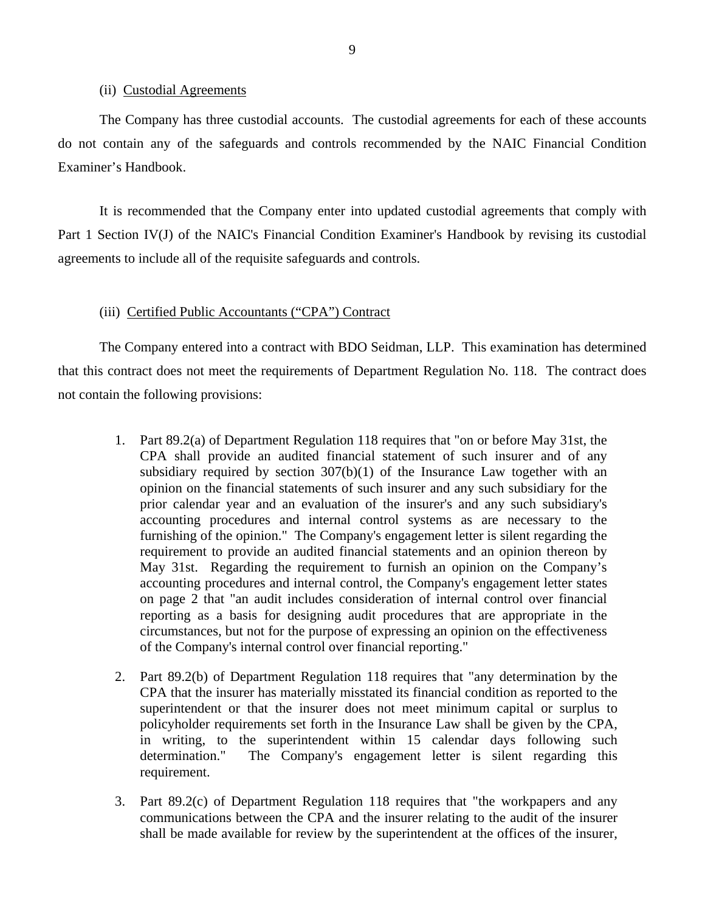#### (ii) Custodial Agreements

The Company has three custodial accounts. The custodial agreements for each of these accounts do not contain any of the safeguards and controls recommended by the NAIC Financial Condition Examiner's Handbook.

It is recommended that the Company enter into updated custodial agreements that comply with Part 1 Section IV(J) of the NAIC's Financial Condition Examiner's Handbook by revising its custodial agreements to include all of the requisite safeguards and controls.

#### (iii) Certified Public Accountants ("CPA") Contract

The Company entered into a contract with BDO Seidman, LLP. This examination has determined that this contract does not meet the requirements of Department Regulation No. 118. The contract does not contain the following provisions:

- 1. Part 89.2(a) of Department Regulation 118 requires that "on or before May 31st, the CPA shall provide an audited financial statement of such insurer and of any subsidiary required by section 307(b)(1) of the Insurance Law together with an opinion on the financial statements of such insurer and any such subsidiary for the prior calendar year and an evaluation of the insurer's and any such subsidiary's accounting procedures and internal control systems as are necessary to the furnishing of the opinion." The Company's engagement letter is silent regarding the requirement to provide an audited financial statements and an opinion thereon by May 31st. Regarding the requirement to furnish an opinion on the Company's accounting procedures and internal control, the Company's engagement letter states on page 2 that "an audit includes consideration of internal control over financial reporting as a basis for designing audit procedures that are appropriate in the circumstances, but not for the purpose of expressing an opinion on the effectiveness of the Company's internal control over financial reporting."
- 2. Part 89.2(b) of Department Regulation 118 requires that "any determination by the CPA that the insurer has materially misstated its financial condition as reported to the superintendent or that the insurer does not meet minimum capital or surplus to policyholder requirements set forth in the Insurance Law shall be given by the CPA, in writing, to the superintendent within 15 calendar days following such determination." The Company's engagement letter is silent regarding this requirement.
- 3. Part 89.2(c) of Department Regulation 118 requires that "the workpapers and any communications between the CPA and the insurer relating to the audit of the insurer shall be made available for review by the superintendent at the offices of the insurer,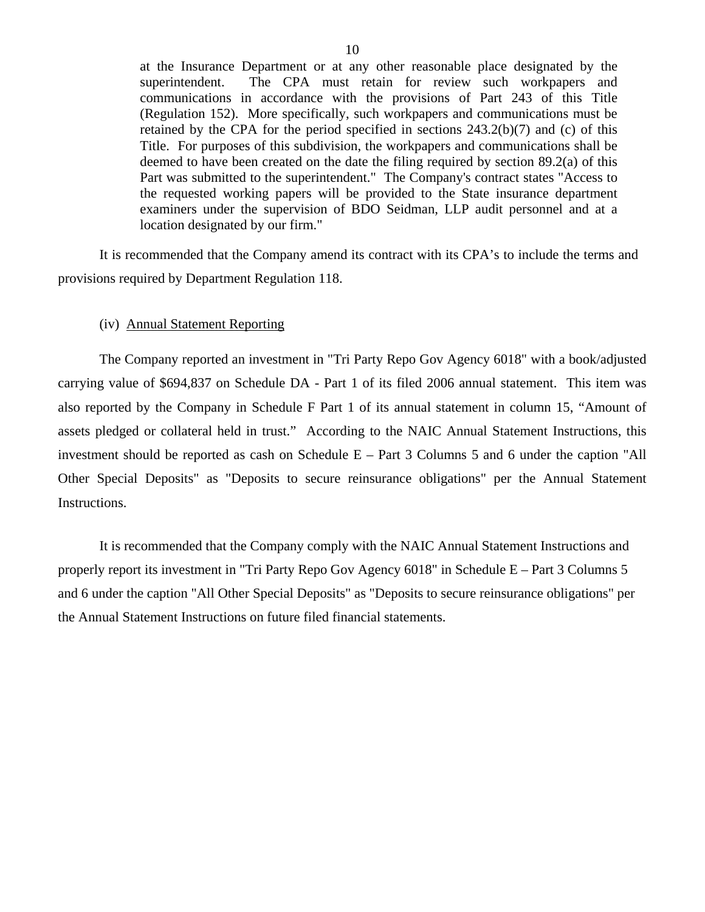<span id="page-11-0"></span>at the Insurance Department or at any other reasonable place designated by the superintendent. The CPA must retain for review such workpapers and communications in accordance with the provisions of Part 243 of this Title (Regulation 152). More specifically, such workpapers and communications must be retained by the CPA for the period specified in sections  $243.2(b)(7)$  and (c) of this Title. For purposes of this subdivision, the workpapers and communications shall be deemed to have been created on the date the filing required by section 89.2(a) of this Part was submitted to the superintendent." The Company's contract states "Access to the requested working papers will be provided to the State insurance department examiners under the supervision of BDO Seidman, LLP audit personnel and at a location designated by our firm."

It is recommended that the Company amend its contract with its CPA's to include the terms and provisions required by Department Regulation 118.

#### (iv) Annual Statement Reporting

The Company reported an investment in "Tri Party Repo Gov Agency 6018" with a book/adjusted carrying value of \$694,837 on Schedule DA - Part 1 of its filed 2006 annual statement. This item was also reported by the Company in Schedule F Part 1 of its annual statement in column 15, "Amount of assets pledged or collateral held in trust." According to the NAIC Annual Statement Instructions, this investment should be reported as cash on Schedule E – Part 3 Columns 5 and 6 under the caption "All Other Special Deposits" as "Deposits to secure reinsurance obligations" per the Annual Statement Instructions.

It is recommended that the Company comply with the NAIC Annual Statement Instructions and properly report its investment in "Tri Party Repo Gov Agency 6018" in Schedule E – Part 3 Columns 5 and 6 under the caption "All Other Special Deposits" as "Deposits to secure reinsurance obligations" per the Annual Statement Instructions on future filed financial statements.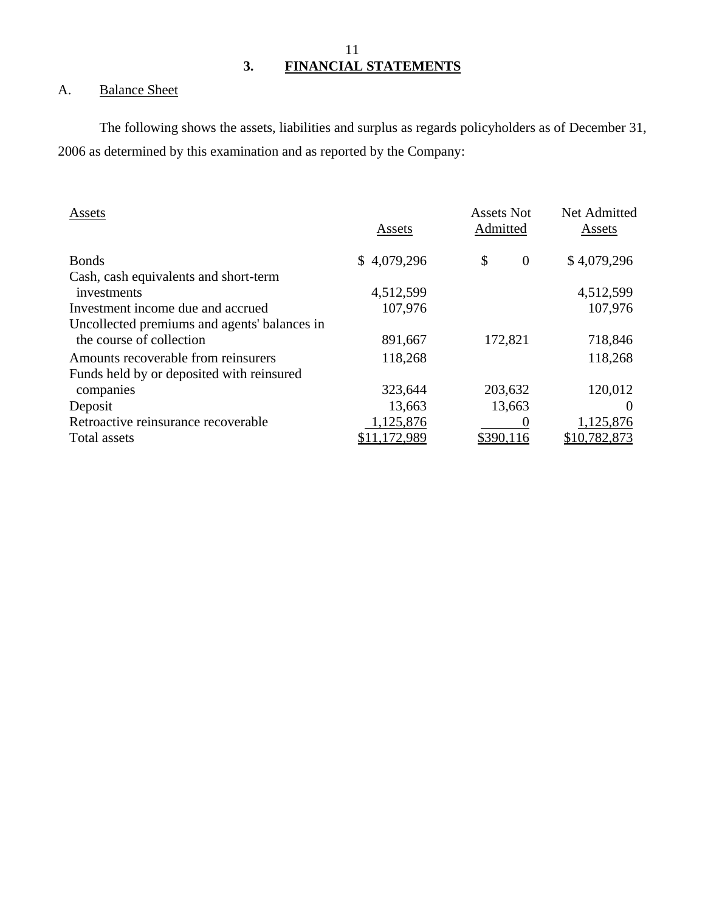## A. Balance Sheet

The following shows the assets, liabilities and surplus as regards policyholders as of December 31, 2006 as determined by this examination and as reported by the Company:

| Assets                                       | Assets      | <b>Assets Not</b><br>Admitted | Net Admitted<br>Assets |
|----------------------------------------------|-------------|-------------------------------|------------------------|
| <b>Bonds</b>                                 | \$4,079,296 | \$<br>$\theta$                | \$4,079,296            |
| Cash, cash equivalents and short-term        |             |                               |                        |
| investments                                  | 4,512,599   |                               | 4,512,599              |
| Investment income due and accrued            | 107,976     |                               | 107,976                |
| Uncollected premiums and agents' balances in |             |                               |                        |
| the course of collection                     | 891,667     | 172,821                       | 718,846                |
| Amounts recoverable from reinsurers          | 118,268     |                               | 118,268                |
| Funds held by or deposited with reinsured    |             |                               |                        |
| companies                                    | 323,644     | 203,632                       | 120,012                |
| Deposit                                      | 13,663      | 13,663                        |                        |
| Retroactive reinsurance recoverable          | 1,125,876   |                               | 1,125,876              |
| Total assets                                 | ,172,989    | \$390,116                     | \$10,782,873           |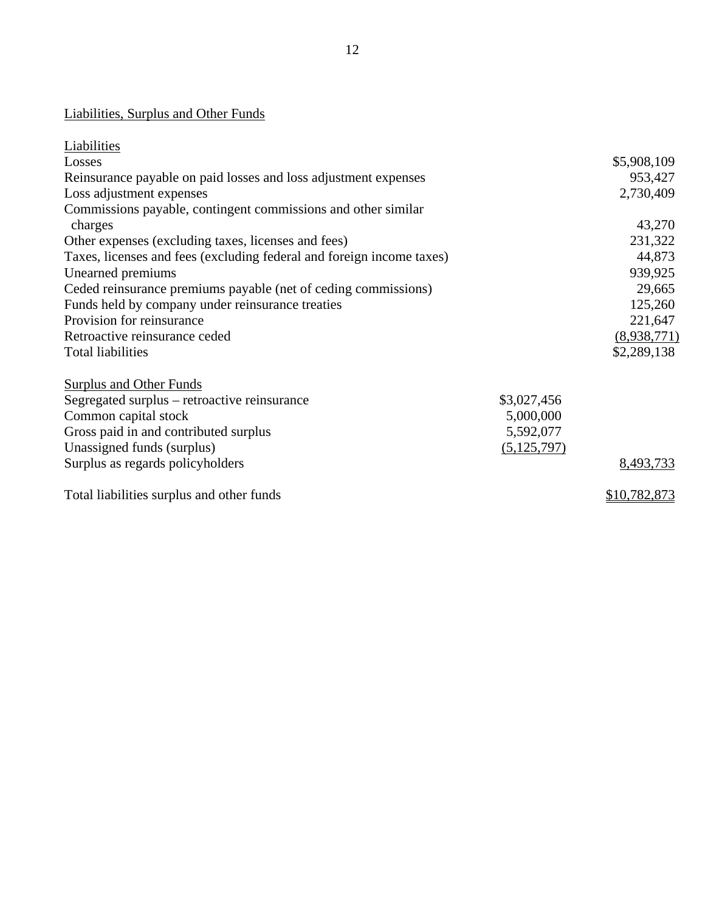| <b>Liabilities, Surplus and Other Funds</b>                           |               |              |
|-----------------------------------------------------------------------|---------------|--------------|
| Liabilities                                                           |               |              |
| Losses                                                                |               | \$5,908,109  |
| Reinsurance payable on paid losses and loss adjustment expenses       |               | 953,427      |
| Loss adjustment expenses                                              |               | 2,730,409    |
| Commissions payable, contingent commissions and other similar         |               |              |
| charges                                                               |               | 43,270       |
| Other expenses (excluding taxes, licenses and fees)                   |               | 231,322      |
| Taxes, licenses and fees (excluding federal and foreign income taxes) |               | 44,873       |
| Unearned premiums                                                     |               | 939,925      |
| Ceded reinsurance premiums payable (net of ceding commissions)        |               | 29,665       |
| Funds held by company under reinsurance treaties                      |               | 125,260      |
| Provision for reinsurance                                             |               | 221,647      |
| Retroactive reinsurance ceded                                         |               | (8,938,771)  |
| <b>Total liabilities</b>                                              |               | \$2,289,138  |
| <b>Surplus and Other Funds</b>                                        |               |              |
| Segregated surplus – retroactive reinsurance                          | \$3,027,456   |              |
| Common capital stock                                                  | 5,000,000     |              |
| Gross paid in and contributed surplus                                 | 5,592,077     |              |
| Unassigned funds (surplus)                                            | (5, 125, 797) |              |
| Surplus as regards policyholders                                      |               | 8,493,733    |
| Total liabilities surplus and other funds                             |               | \$10,782,873 |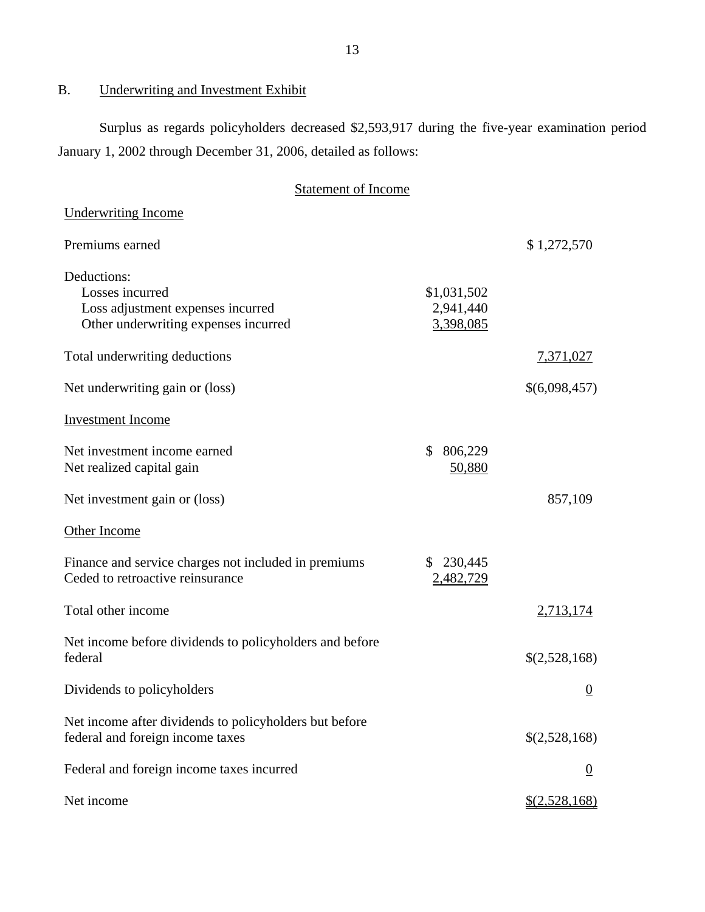## B. Underwriting and Investment Exhibit

Surplus as regards policyholders decreased \$2,593,917 during the five-year examination period January 1, 2002 through December 31, 2006, detailed as follows:

| <b>Statement of Income</b>                                                                                  |                                       |                  |
|-------------------------------------------------------------------------------------------------------------|---------------------------------------|------------------|
| <b>Underwriting Income</b>                                                                                  |                                       |                  |
| Premiums earned                                                                                             |                                       | \$1,272,570      |
| Deductions:<br>Losses incurred<br>Loss adjustment expenses incurred<br>Other underwriting expenses incurred | \$1,031,502<br>2,941,440<br>3,398,085 |                  |
| Total underwriting deductions                                                                               |                                       | 7,371,027        |
| Net underwriting gain or (loss)                                                                             |                                       | \$(6,098,457)    |
| <b>Investment Income</b>                                                                                    |                                       |                  |
| Net investment income earned<br>Net realized capital gain                                                   | 806,229<br>\$<br>50,880               |                  |
| Net investment gain or (loss)                                                                               |                                       | 857,109          |
| Other Income                                                                                                |                                       |                  |
| Finance and service charges not included in premiums<br>Ceded to retroactive reinsurance                    | 230,445<br>S.<br>2,482,729            |                  |
| Total other income                                                                                          |                                       | 2,713,174        |
| Net income before dividends to policyholders and before<br>federal                                          |                                       | \$(2,528,168)    |
| Dividends to policyholders                                                                                  |                                       | $\boldsymbol{0}$ |
| Net income after dividends to policyholders but before<br>federal and foreign income taxes                  |                                       | \$(2,528,168)    |
| Federal and foreign income taxes incurred                                                                   |                                       | $\overline{0}$   |
| Net income                                                                                                  |                                       | \$(2,528,168)    |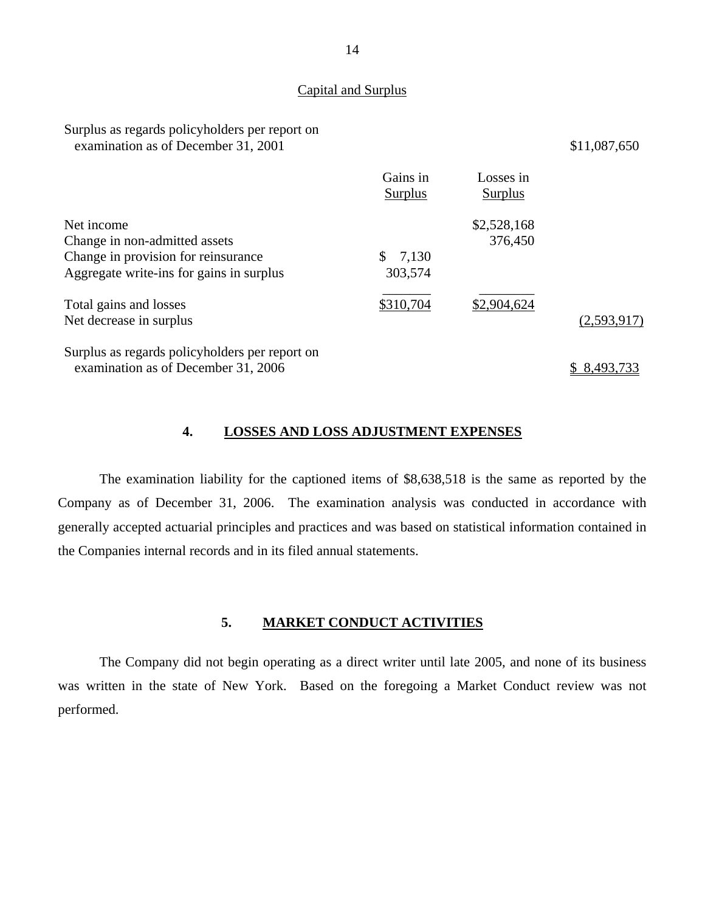#### Capital and Surplus

#### Surplus as regards policyholders per report on examination as of December 31, 2001 \$11,087,650

|                                                | Gains in<br>Surplus | Losses in<br>Surplus |             |
|------------------------------------------------|---------------------|----------------------|-------------|
| Net income                                     |                     | \$2,528,168          |             |
| Change in non-admitted assets                  |                     | 376,450              |             |
| Change in provision for reinsurance            | 7,130<br>SS.        |                      |             |
| Aggregate write-ins for gains in surplus       | 303,574             |                      |             |
| Total gains and losses                         | \$310,704           | \$2,904,624          |             |
| Net decrease in surplus                        |                     |                      | (2,593,917) |
| Surplus as regards policyholders per report on |                     |                      |             |
| examination as of December 31, 2006            |                     |                      | 8,493,733   |

#### **4. LOSSES AND LOSS ADJUSTMENT EXPENSES**

The examination liability for the captioned items of \$8,638,518 is the same as reported by the Company as of December 31, 2006. The examination analysis was conducted in accordance with generally accepted actuarial principles and practices and was based on statistical information contained in the Companies internal records and in its filed annual statements.

### **5. MARKET CONDUCT ACTIVITIES**

The Company did not begin operating as a direct writer until late 2005, and none of its business was written in the state of New York. Based on the foregoing a Market Conduct review was not performed.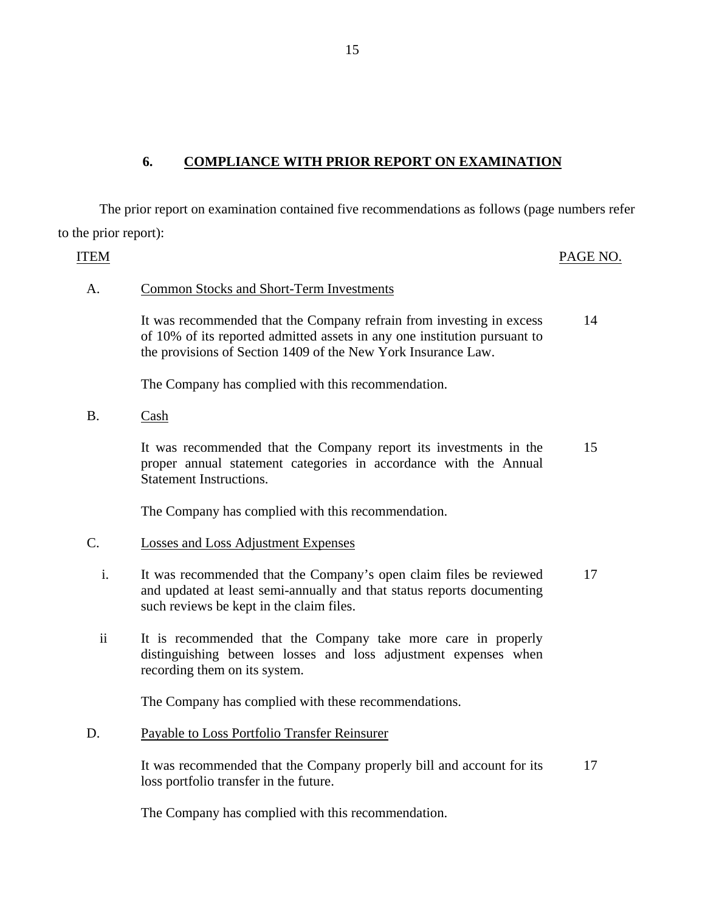## **6. COMPLIANCE WITH PRIOR REPORT ON EXAMINATION**

The prior report on examination contained five recommendations as follows (page numbers refer to the prior report):

ITEM PAGE NO. A. Common Stocks and Short-Term Investments It was recommended that the Company refrain from investing in excess of 10% of its reported admitted assets in any one institution pursuant to the provisions of Section 1409 of the New York Insurance Law. 14

The Company has complied with this recommendation.

B. Cash

It was recommended that the Company report its investments in the proper annual statement categories in accordance with the Annual Statement Instructions. 15

The Company has complied with this recommendation.

#### C. Losses and Loss Adjustment Expenses

- i. It was recommended that the Company's open claim files be reviewed and updated at least semi-annually and that status reports documenting such reviews be kept in the claim files. 17
- ii It is recommended that the Company take more care in properly distinguishing between losses and loss adjustment expenses when recording them on its system.

The Company has complied with these recommendations.

#### D. Payable to Loss Portfolio Transfer Reinsurer

It was recommended that the Company properly bill and account for its loss portfolio transfer in the future. 17

The Company has complied with this recommendation.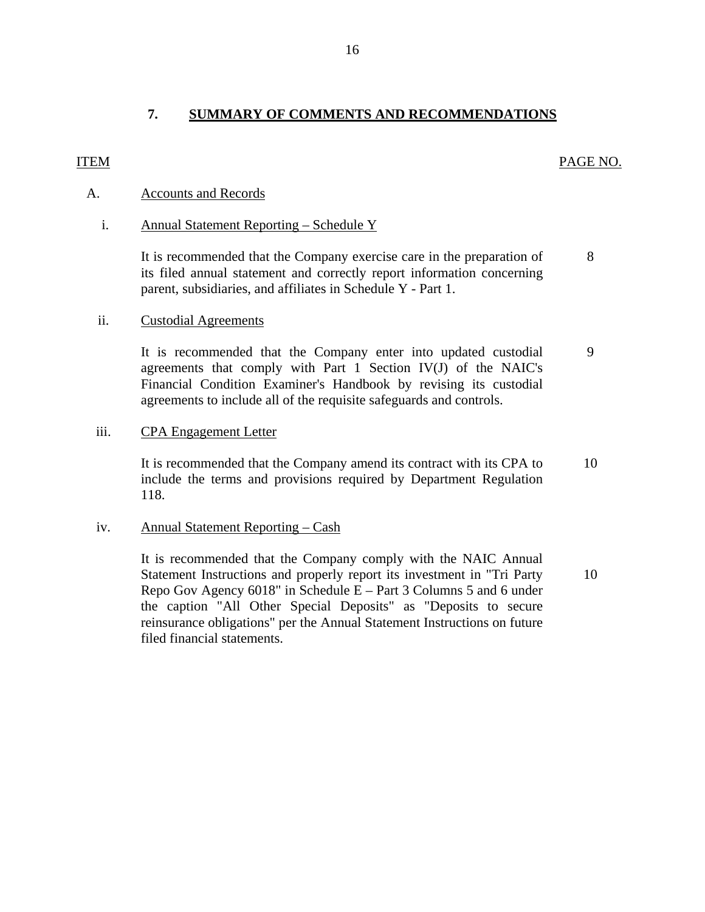## <span id="page-17-0"></span>ITEM PAGE NO.

### A. Accounts and Records

#### i. Annual Statement Reporting – Schedule Y

It is recommended that the Company exercise care in the preparation of 8 its filed annual statement and correctly report information concerning parent, subsidiaries, and affiliates in Schedule Y - Part 1.

#### ii. Custodial Agreements

It is recommended that the Company enter into updated custodial 9 agreements that comply with Part 1 Section IV(J) of the NAIC's Financial Condition Examiner's Handbook by revising its custodial agreements to include all of the requisite safeguards and controls.

#### iii. CPA Engagement Letter

It is recommended that the Company amend its contract with its CPA to 10 include the terms and provisions required by Department Regulation 118.

#### iv. Annual Statement Reporting – Cash

It is recommended that the Company comply with the NAIC Annual Statement Instructions and properly report its investment in "Tri Party 10 Repo Gov Agency 6018" in Schedule E – Part 3 Columns 5 and 6 under the caption "All Other Special Deposits" as "Deposits to secure reinsurance obligations" per the Annual Statement Instructions on future filed financial statements.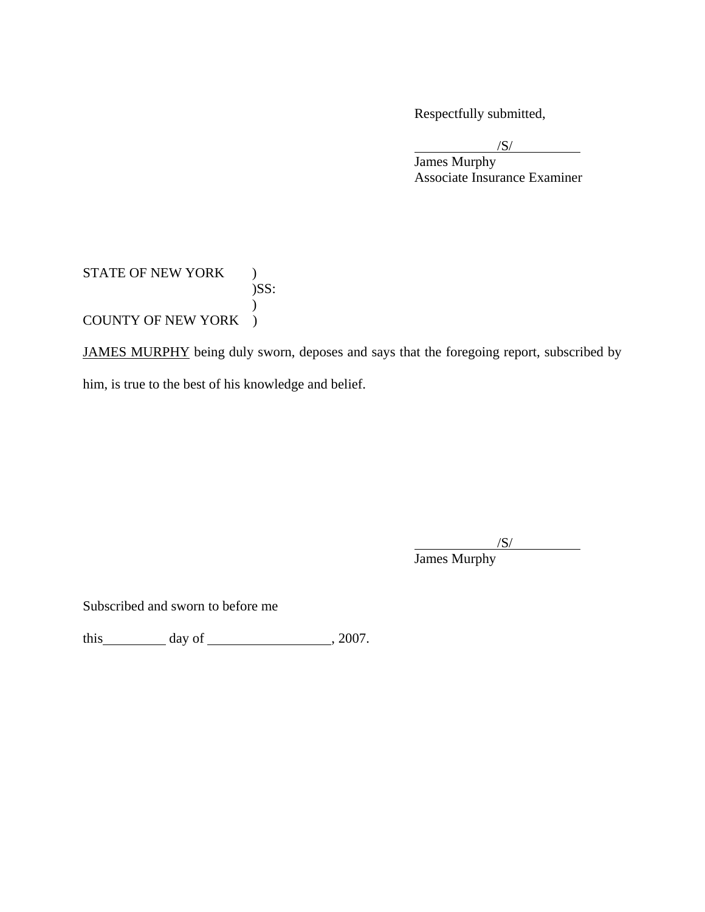Respectfully submitted,

 $\sqrt{S}$ 

 $/S/$  James Murphy Associate Insurance Examiner

### STATE OF NEW YORK ) )SS:  $\mathcal{L}$ COUNTY OF NEW YORK )

JAMES MURPHY being duly sworn, deposes and says that the foregoing report, subscribed by him, is true to the best of his knowledge and belief.

 $/$ S/ $/$ 

James Murphy

Subscribed and sworn to before me

this day of  $\frac{1}{2007}$ .